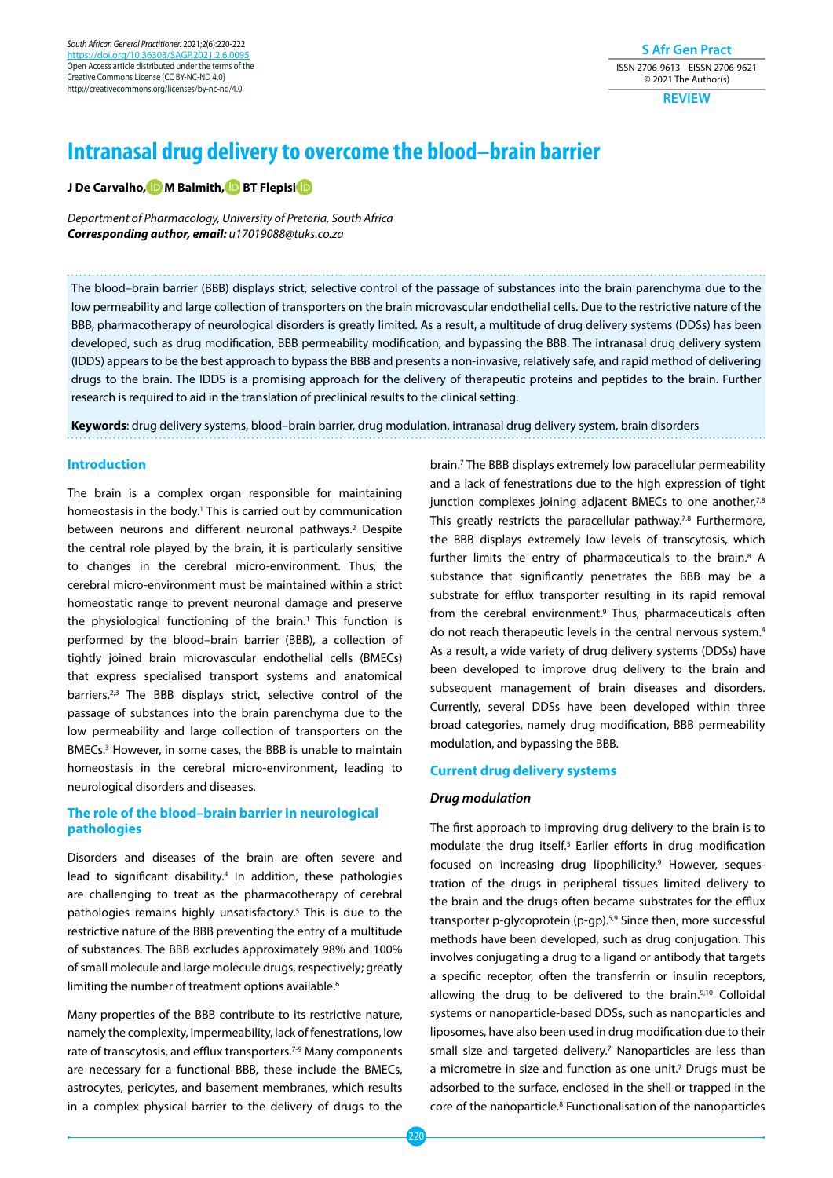*South African General Practitioner.* 2021;2(6):220-222 https://doi.org/10.36303/ Open Access article distributed under the terms of the Creative Commons License [CC BY-NC-ND 4.0] http://creativecommons.org/licenses/by-nc-nd/4.0

# **S Afr Gen Pract** ISSN 2706-9613 EISSN 2706-9621 © 2021 The Author(s)

**REVIEW**

# **Intranasal drug delivery to overcome the blood–brain barrier**

**J De Carvalho[, M](https://orcid.org/0000-0003-3718-1098) Balmith[, B](https://orcid.org/0000-0002-9209-7318)T Flepis[i](https://orcid.org/0000-0002-0628-4636)**

*Department of Pharmacology, University of Pretoria, South Africa Corresponding author, email: u17019088@tuks.co.za*

The blood–brain barrier (BBB) displays strict, selective control of the passage of substances into the brain parenchyma due to the low permeability and large collection of transporters on the brain microvascular endothelial cells. Due to the restrictive nature of the BBB, pharmacotherapy of neurological disorders is greatly limited. As a result, a multitude of drug delivery systems (DDSs) has been developed, such as drug modification, BBB permeability modification, and bypassing the BBB. The intranasal drug delivery system (IDDS) appears to be the best approach to bypass the BBB and presents a non-invasive, relatively safe, and rapid method of delivering drugs to the brain. The IDDS is a promising approach for the delivery of therapeutic proteins and peptides to the brain. Further research is required to aid in the translation of preclinical results to the clinical setting.

**Keywords**: drug delivery systems, blood–brain barrier, drug modulation, intranasal drug delivery system, brain disorders

## **Introduction**

The brain is a complex organ responsible for maintaining homeostasis in the body.<sup>1</sup> This is carried out by communication between neurons and different neuronal pathways.<sup>2</sup> Despite the central role played by the brain, it is particularly sensitive to changes in the cerebral micro-environment. Thus, the cerebral micro-environment must be maintained within a strict homeostatic range to prevent neuronal damage and preserve the physiological functioning of the brain.<sup>1</sup> This function is performed by the blood–brain barrier (BBB), a collection of tightly joined brain microvascular endothelial cells (BMECs) that express specialised transport systems and anatomical barriers.2,3 The BBB displays strict, selective control of the passage of substances into the brain parenchyma due to the low permeability and large collection of transporters on the BMECs.3 However, in some cases, the BBB is unable to maintain homeostasis in the cerebral micro-environment, leading to neurological disorders and diseases.

# **The role of the blood–brain barrier in neurological pathologies**

Disorders and diseases of the brain are often severe and lead to significant disability.<sup>4</sup> In addition, these pathologies are challenging to treat as the pharmacotherapy of cerebral pathologies remains highly unsatisfactory.<sup>5</sup> This is due to the restrictive nature of the BBB preventing the entry of a multitude of substances. The BBB excludes approximately 98% and 100% of small molecule and large molecule drugs, respectively; greatly limiting the number of treatment options available.<sup>6</sup>

Many properties of the BBB contribute to its restrictive nature, namely the complexity, impermeability, lack of fenestrations, low rate of transcytosis, and efflux transporters.<sup>7-9</sup> Many components are necessary for a functional BBB, these include the BMECs, astrocytes, pericytes, and basement membranes, which results in a complex physical barrier to the delivery of drugs to the

brain.7 The BBB displays extremely low paracellular permeability and a lack of fenestrations due to the high expression of tight junction complexes joining adjacent BMECs to one another.<sup>7,8</sup> This greatly restricts the paracellular pathway.<sup>7,8</sup> Furthermore, the BBB displays extremely low levels of transcytosis, which further limits the entry of pharmaceuticals to the brain.<sup>8</sup> A substance that significantly penetrates the BBB may be a substrate for efflux transporter resulting in its rapid removal from the cerebral environment.<sup>9</sup> Thus, pharmaceuticals often do not reach therapeutic levels in the central nervous system.<sup>4</sup> As a result, a wide variety of drug delivery systems (DDSs) have been developed to improve drug delivery to the brain and subsequent management of brain diseases and disorders. Currently, several DDSs have been developed within three broad categories, namely drug modification, BBB permeability modulation, and bypassing the BBB.

### **Current drug delivery systems**

#### *Drug modulation*

The first approach to improving drug delivery to the brain is to modulate the drug itself.<sup>5</sup> Earlier efforts in drug modification focused on increasing drug lipophilicity.<sup>9</sup> However, sequestration of the drugs in peripheral tissues limited delivery to the brain and the drugs often became substrates for the efflux transporter p-glycoprotein (p-gp).5,9 Since then, more successful methods have been developed, such as drug conjugation. This involves conjugating a drug to a ligand or antibody that targets a specific receptor, often the transferrin or insulin receptors, allowing the drug to be delivered to the brain.<sup>9,10</sup> Colloidal systems or nanoparticle-based DDSs, such as nanoparticles and liposomes, have also been used in drug modification due to their small size and targeted delivery.<sup>7</sup> Nanoparticles are less than a micrometre in size and function as one unit.<sup>7</sup> Drugs must be adsorbed to the surface, enclosed in the shell or trapped in the core of the nanoparticle.<sup>8</sup> Functionalisation of the nanoparticles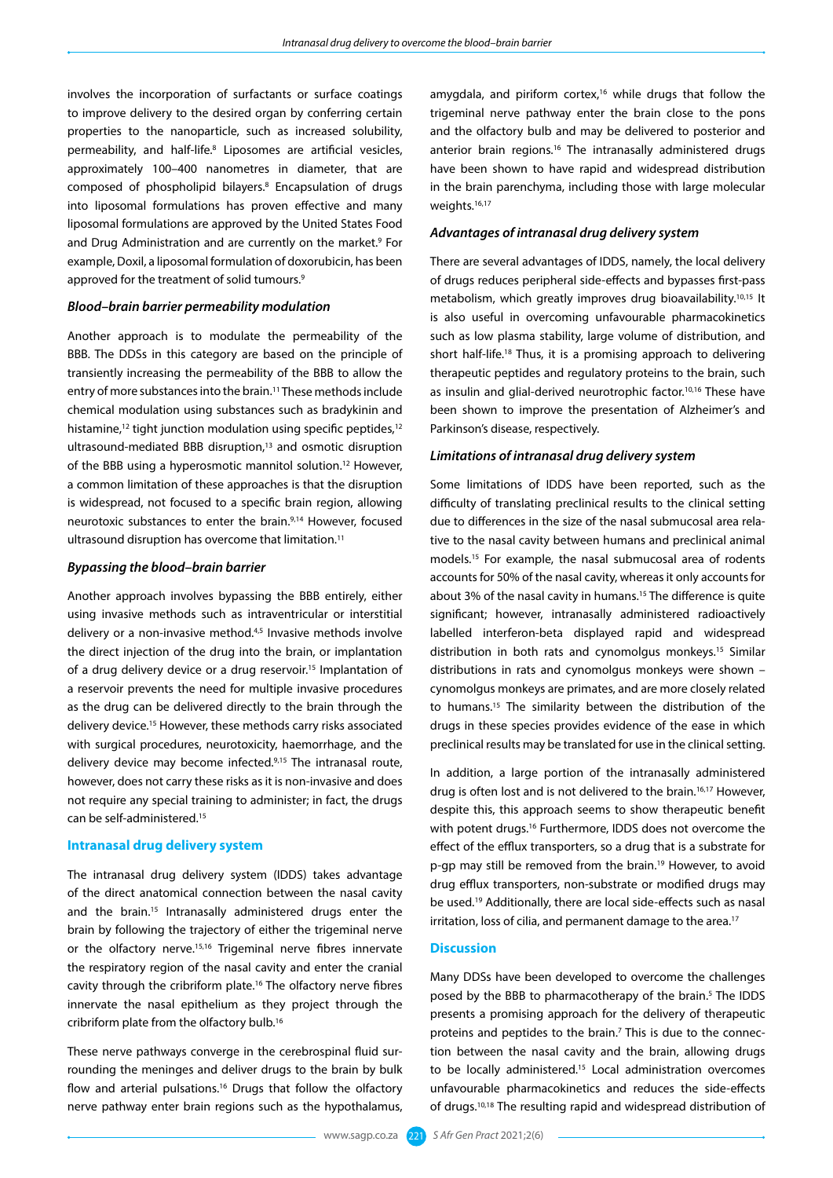involves the incorporation of surfactants or surface coatings to improve delivery to the desired organ by conferring certain properties to the nanoparticle, such as increased solubility, permeability, and half-life.8 Liposomes are artificial vesicles, approximately 100–400 nanometres in diameter, that are composed of phospholipid bilayers.8 Encapsulation of drugs into liposomal formulations has proven effective and many liposomal formulations are approved by the United States Food and Drug Administration and are currently on the market.<sup>9</sup> For example, Doxil, a liposomal formulation of doxorubicin, has been approved for the treatment of solid tumours.<sup>9</sup>

#### *Blood–brain barrier permeability modulation*

Another approach is to modulate the permeability of the BBB. The DDSs in this category are based on the principle of transiently increasing the permeability of the BBB to allow the entry of more substances into the brain.11 These methods include chemical modulation using substances such as bradykinin and histamine,<sup>12</sup> tight junction modulation using specific peptides,<sup>12</sup> ultrasound-mediated BBB disruption,<sup>13</sup> and osmotic disruption of the BBB using a hyperosmotic mannitol solution.12 However, a common limitation of these approaches is that the disruption is widespread, not focused to a specific brain region, allowing neurotoxic substances to enter the brain.9,14 However, focused ultrasound disruption has overcome that limitation.<sup>11</sup>

## *Bypassing the blood–brain barrier*

Another approach involves bypassing the BBB entirely, either using invasive methods such as intraventricular or interstitial delivery or a non-invasive method.<sup>4,5</sup> Invasive methods involve the direct injection of the drug into the brain, or implantation of a drug delivery device or a drug reservoir.15 Implantation of a reservoir prevents the need for multiple invasive procedures as the drug can be delivered directly to the brain through the delivery device.15 However, these methods carry risks associated with surgical procedures, neurotoxicity, haemorrhage, and the delivery device may become infected.<sup>9,15</sup> The intranasal route, however, does not carry these risks as it is non-invasive and does not require any special training to administer; in fact, the drugs can be self-administered.15

#### **Intranasal drug delivery system**

The intranasal drug delivery system (IDDS) takes advantage of the direct anatomical connection between the nasal cavity and the brain.15 Intranasally administered drugs enter the brain by following the trajectory of either the trigeminal nerve or the olfactory nerve.<sup>15,16</sup> Trigeminal nerve fibres innervate the respiratory region of the nasal cavity and enter the cranial cavity through the cribriform plate.16 The olfactory nerve fibres innervate the nasal epithelium as they project through the cribriform plate from the olfactory bulb.16

These nerve pathways converge in the cerebrospinal fluid surrounding the meninges and deliver drugs to the brain by bulk flow and arterial pulsations.<sup>16</sup> Drugs that follow the olfactory nerve pathway enter brain regions such as the hypothalamus,

amygdala, and piriform cortex,<sup>16</sup> while drugs that follow the trigeminal nerve pathway enter the brain close to the pons and the olfactory bulb and may be delivered to posterior and anterior brain regions.<sup>16</sup> The intranasally administered drugs have been shown to have rapid and widespread distribution in the brain parenchyma, including those with large molecular weights.<sup>16,17</sup>

## *Advantages of intranasal drug delivery system*

There are several advantages of IDDS, namely, the local delivery of drugs reduces peripheral side-effects and bypasses first-pass metabolism, which greatly improves drug bioavailability.10,15 It is also useful in overcoming unfavourable pharmacokinetics such as low plasma stability, large volume of distribution, and short half-life.<sup>18</sup> Thus, it is a promising approach to delivering therapeutic peptides and regulatory proteins to the brain, such as insulin and glial-derived neurotrophic factor.<sup>10,16</sup> These have been shown to improve the presentation of Alzheimer's and Parkinson's disease, respectively.

# *Limitations of intranasal drug delivery system*

Some limitations of IDDS have been reported, such as the difficulty of translating preclinical results to the clinical setting due to differences in the size of the nasal submucosal area relative to the nasal cavity between humans and preclinical animal models.15 For example, the nasal submucosal area of rodents accounts for 50% of the nasal cavity, whereas it only accounts for about 3% of the nasal cavity in humans.<sup>15</sup> The difference is quite significant; however, intranasally administered radioactively labelled interferon-beta displayed rapid and widespread distribution in both rats and cynomolgus monkeys.15 Similar distributions in rats and cynomolgus monkeys were shown – cynomolgus monkeys are primates, and are more closely related to humans.15 The similarity between the distribution of the drugs in these species provides evidence of the ease in which preclinical results may be translated for use in the clinical setting.

In addition, a large portion of the intranasally administered drug is often lost and is not delivered to the brain.<sup>16,17</sup> However, despite this, this approach seems to show therapeutic benefit with potent drugs.<sup>16</sup> Furthermore, IDDS does not overcome the effect of the efflux transporters, so a drug that is a substrate for p-gp may still be removed from the brain.<sup>19</sup> However, to avoid drug efflux transporters, non-substrate or modified drugs may be used.19 Additionally, there are local side-effects such as nasal irritation, loss of cilia, and permanent damage to the area.<sup>17</sup>

#### **Discussion**

Many DDSs have been developed to overcome the challenges posed by the BBB to pharmacotherapy of the brain.<sup>5</sup> The IDDS presents a promising approach for the delivery of therapeutic proteins and peptides to the brain.<sup>7</sup> This is due to the connection between the nasal cavity and the brain, allowing drugs to be locally administered.<sup>15</sup> Local administration overcomes unfavourable pharmacokinetics and reduces the side-effects of drugs.10,18 The resulting rapid and widespread distribution of